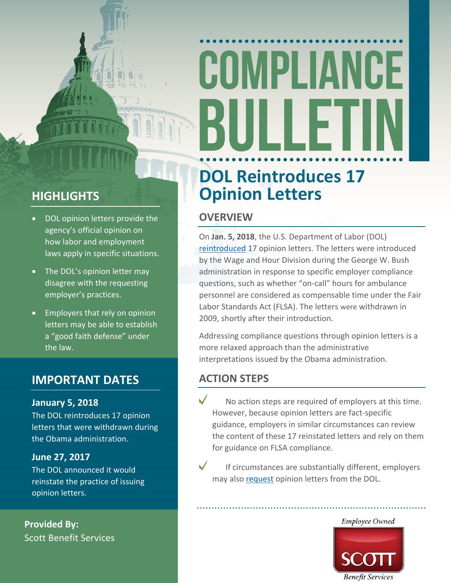# COMPLIANCE ┅

### **HIGHLIGHTS**

- DOL opinion letters provide the agency's official opinion on how labor and employment laws apply in specific situations.
- The DOL's opinion letter may disagree with the requesting employer's practices.
- Employers that rely on opinion letters may be able to establish a "good faith defense" under the law.

### **IMPORTANT DATES**

#### **January 5, 2018**

The DOL reintroduces 17 opinion letters that were withdrawn during the Obama administration.

#### **June 27, 2017**

The DOL announced it would reinstate the practice of issuing opinion letters.

**Provided By:** Scott Benefit Services

### **DOL Reintroduces 17 Opinion Letters**

### **OVERVIEW**

On **Jan. 5, 2018**, the U.S. Department of Labor (DOL) [reintroduced](https://www.dol.gov/whd/opinion/flsa.htm) 17 opinion letters. The letters were introduced by the Wage and Hour Division during the George W. Bush administration in response to specific employer compliance questions, such as whether "on-call" hours for ambulance personnel are considered as compensable time under the Fair Labor Standards Act (FLSA). The letters were withdrawn in 2009, shortly after their introduction.

Addressing compliance questions through opinion letters is a more relaxed approach than the administrative interpretations issued by the Obama administration.

### **ACTION STEPS**

 $\sqrt{}$ No action steps are required of employers at this time. However, because opinion letters are fact-specific guidance, employers in similar circumstances can review the content of these 17 reinstated letters and rely on them for guidance on FLSA compliance.



If circumstances are substantially different, employers may also [request](https://www.dol.gov/whd/opinion/opinion-request-1.htm) opinion letters from the DOL.

### Employee Owned

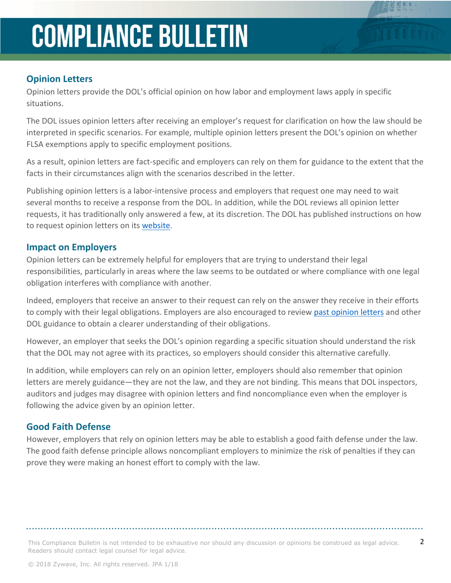### **Opinion Letters**

Opinion letters provide the DOL's official opinion on how labor and employment laws apply in specific situations.

The DOL issues opinion letters after receiving an employer's request for clarification on how the law should be interpreted in specific scenarios. For example, multiple opinion letters present the DOL's opinion on whether FLSA exemptions apply to specific employment positions.

As a result, opinion letters are fact-specific and employers can rely on them for guidance to the extent that the facts in their circumstances align with the scenarios described in the letter.

Publishing opinion letters is a labor-intensive process and employers that request one may need to wait several months to receive a response from the DOL. In addition, while the DOL reviews all opinion letter requests, it has traditionally only answered a few, at its discretion. The DOL has published instructions on how to request opinion letters on its [website](https://www.dol.gov/whd/opinion/opinion-request-1.htm).

#### **Impact on Employers**

Opinion letters can be extremely helpful for employers that are trying to understand their legal responsibilities, particularly in areas where the law seems to be outdated or where compliance with one legal obligation interferes with compliance with another.

Indeed, employers that receive an answer to their request can rely on the answer they receive in their efforts to comply with their legal obligations. Employers are also encouraged to review past [opinion](https://www.dol.gov/whd/opinion/flsa.htm) letters and other DOL guidance to obtain a clearer understanding of their obligations.

However, an employer that seeks the DOL's opinion regarding a specific situation should understand the risk that the DOL may not agree with its practices, so employers should consider this alternative carefully.

In addition, while employers can rely on an opinion letter, employers should also remember that opinion letters are merely guidance—they are not the law, and they are not binding. This means that DOL inspectors, auditors and judges may disagree with opinion letters and find noncompliance even when the employer is following the advice given by an opinion letter.

#### **Good Faith Defense**

However, employers that rely on opinion letters may be able to establish a good faith defense under the law. The good faith defense principle allows noncompliant employers to minimize the risk of penalties if they can prove they were making an honest effort to comply with the law.

This Compliance Bulletin is not intended to be exhaustive nor should any discussion or opinions be construed as legal advice.  $2$ Readers should contact legal counsel for legal advice.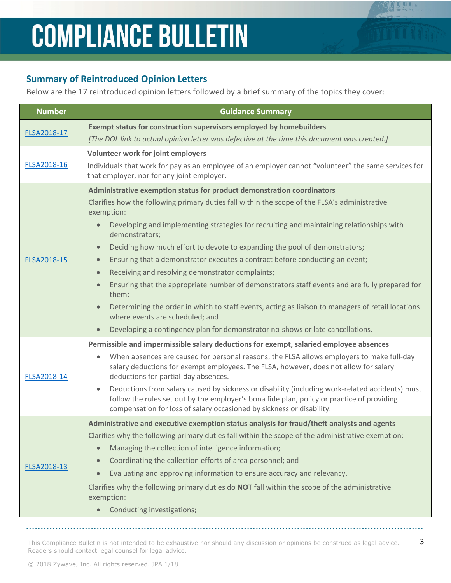### **Summary of Reintroduced Opinion Letters**

Below are the 17 reintroduced opinion letters followed by a brief summary of the topics they cover:

| <b>Number</b> | <b>Guidance Summary</b>                                                                                                                                                                                                                                                                                                                                                                                                                                                                                                                                                                                                                                                                                                                                                                                                                                                                                                                              |
|---------------|------------------------------------------------------------------------------------------------------------------------------------------------------------------------------------------------------------------------------------------------------------------------------------------------------------------------------------------------------------------------------------------------------------------------------------------------------------------------------------------------------------------------------------------------------------------------------------------------------------------------------------------------------------------------------------------------------------------------------------------------------------------------------------------------------------------------------------------------------------------------------------------------------------------------------------------------------|
| FLSA2018-17   | Exempt status for construction supervisors employed by homebuilders<br>[The DOL link to actual opinion letter was defective at the time this document was created.]                                                                                                                                                                                                                                                                                                                                                                                                                                                                                                                                                                                                                                                                                                                                                                                  |
| FLSA2018-16   | Volunteer work for joint employers<br>Individuals that work for pay as an employee of an employer cannot "volunteer" the same services for<br>that employer, nor for any joint employer.                                                                                                                                                                                                                                                                                                                                                                                                                                                                                                                                                                                                                                                                                                                                                             |
| FLSA2018-15   | Administrative exemption status for product demonstration coordinators<br>Clarifies how the following primary duties fall within the scope of the FLSA's administrative<br>exemption:<br>Developing and implementing strategies for recruiting and maintaining relationships with<br>$\bullet$<br>demonstrators;<br>Deciding how much effort to devote to expanding the pool of demonstrators;<br>$\bullet$<br>Ensuring that a demonstrator executes a contract before conducting an event;<br>$\bullet$<br>Receiving and resolving demonstrator complaints;<br>$\bullet$<br>Ensuring that the appropriate number of demonstrators staff events and are fully prepared for<br>$\bullet$<br>them;<br>Determining the order in which to staff events, acting as liaison to managers of retail locations<br>$\bullet$<br>where events are scheduled; and<br>Developing a contingency plan for demonstrator no-shows or late cancellations.<br>$\bullet$ |
| FLSA2018-14   | Permissible and impermissible salary deductions for exempt, salaried employee absences<br>When absences are caused for personal reasons, the FLSA allows employers to make full-day<br>$\bullet$<br>salary deductions for exempt employees. The FLSA, however, does not allow for salary<br>deductions for partial-day absences.<br>Deductions from salary caused by sickness or disability (including work-related accidents) must<br>$\bullet$<br>follow the rules set out by the employer's bona fide plan, policy or practice of providing<br>compensation for loss of salary occasioned by sickness or disability.                                                                                                                                                                                                                                                                                                                              |
| FLSA2018-13   | Administrative and executive exemption status analysis for fraud/theft analysts and agents<br>Clarifies why the following primary duties fall within the scope of the administrative exemption:<br>Managing the collection of intelligence information;<br>$\bullet$<br>Coordinating the collection efforts of area personnel; and<br>$\bullet$<br>Evaluating and approving information to ensure accuracy and relevancy.<br>$\bullet$<br>Clarifies why the following primary duties do NOT fall within the scope of the administrative<br>exemption:<br>Conducting investigations;                                                                                                                                                                                                                                                                                                                                                                  |

This Compliance Bulletin is not intended to be exhaustive nor should any discussion or opinions be construed as legal advice.  $3$ Readers should contact legal counsel for legal advice.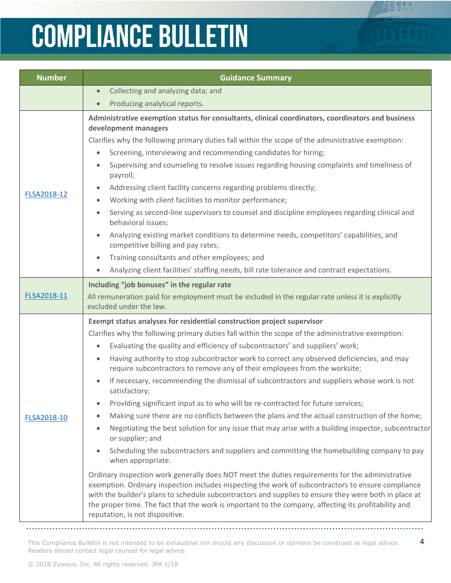| <b>Number</b> | <b>Guidance Summary</b>                                                                                                                                                                                                                                                                                                                                                                                                                                                                                                                                                                                                                                                                                                                                                                                                                                                                                                                                                                                                                                                                                                                                                                                                                                                                                                                                                                                                                                             |
|---------------|---------------------------------------------------------------------------------------------------------------------------------------------------------------------------------------------------------------------------------------------------------------------------------------------------------------------------------------------------------------------------------------------------------------------------------------------------------------------------------------------------------------------------------------------------------------------------------------------------------------------------------------------------------------------------------------------------------------------------------------------------------------------------------------------------------------------------------------------------------------------------------------------------------------------------------------------------------------------------------------------------------------------------------------------------------------------------------------------------------------------------------------------------------------------------------------------------------------------------------------------------------------------------------------------------------------------------------------------------------------------------------------------------------------------------------------------------------------------|
|               | Collecting and analyzing data; and<br>$\bullet$                                                                                                                                                                                                                                                                                                                                                                                                                                                                                                                                                                                                                                                                                                                                                                                                                                                                                                                                                                                                                                                                                                                                                                                                                                                                                                                                                                                                                     |
|               | Producing analytical reports.<br>$\bullet$                                                                                                                                                                                                                                                                                                                                                                                                                                                                                                                                                                                                                                                                                                                                                                                                                                                                                                                                                                                                                                                                                                                                                                                                                                                                                                                                                                                                                          |
| FLSA2018-12   | Administrative exemption status for consultants, clinical coordinators, coordinators and business<br>development managers<br>Clarifies why the following primary duties fall within the scope of the administrative exemption:<br>Screening, interviewing and recommending candidates for hiring;<br>$\bullet$<br>Supervising and counseling to resolve issues regarding housing complaints and timeliness of<br>payroll;<br>Addressing client facility concerns regarding problems directly;<br>Working with client facilities to monitor performance;<br>Serving as second-line supervisors to counsel and discipline employees regarding clinical and<br>behavioral issues;<br>Analyzing existing market conditions to determine needs, competitors' capabilities, and<br>competitive billing and pay rates;                                                                                                                                                                                                                                                                                                                                                                                                                                                                                                                                                                                                                                                     |
|               | Training consultants and other employees; and<br>Analyzing client facilities' staffing needs, bill rate tolerance and contract expectations.                                                                                                                                                                                                                                                                                                                                                                                                                                                                                                                                                                                                                                                                                                                                                                                                                                                                                                                                                                                                                                                                                                                                                                                                                                                                                                                        |
| FLSA2018-11   | Including "job bonuses" in the regular rate<br>All remuneration paid for employment must be included in the regular rate unless it is explicitly<br>excluded under the law.                                                                                                                                                                                                                                                                                                                                                                                                                                                                                                                                                                                                                                                                                                                                                                                                                                                                                                                                                                                                                                                                                                                                                                                                                                                                                         |
| FLSA2018-10   | Exempt status analyses for residential construction project supervisor<br>Clarifies why the following primary duties fall within the scope of the administrative exemption:<br>Evaluating the quality and efficiency of subcontractors' and suppliers' work;<br>$\bullet$<br>Having authority to stop subcontractor work to correct any observed deficiencies, and may<br>require subcontractors to remove any of their employees from the worksite;<br>If necessary, recommending the dismissal of subcontractors and suppliers whose work is not<br>satisfactory;<br>Providing significant input as to who will be re-contracted for future services;<br>Making sure there are no conflicts between the plans and the actual construction of the home;<br>Negotiating the best solution for any issue that may arise with a building inspector, subcontractor<br>or supplier; and<br>Scheduling the subcontractors and suppliers and committing the homebuilding company to pay<br>when appropriate.<br>Ordinary inspection work generally does NOT meet the duties requirements for the administrative<br>exemption. Ordinary inspection includes inspecting the work of subcontractors to ensure compliance<br>with the builder's plans to schedule subcontractors and supplies to ensure they were both in place at<br>the proper time. The fact that the work is important to the company, affecting its profitability and<br>reputation, is not dispositive. |

This Compliance Bulletin is not intended to be exhaustive nor should any discussion or opinions be construed as legal advice. 4 Readers should contact legal counsel for legal advice.

 $\ddotsc$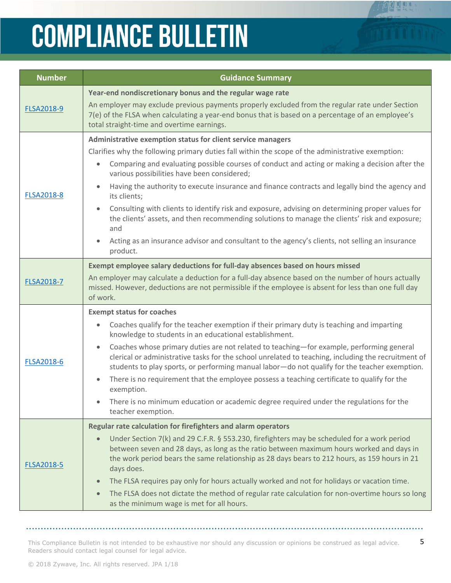| <b>Number</b>     | <b>Guidance Summary</b>                                                                                                                                                                                                                                                                                                                                                                                                                                                                                                                                                                                                                                                                                                                                                                    |
|-------------------|--------------------------------------------------------------------------------------------------------------------------------------------------------------------------------------------------------------------------------------------------------------------------------------------------------------------------------------------------------------------------------------------------------------------------------------------------------------------------------------------------------------------------------------------------------------------------------------------------------------------------------------------------------------------------------------------------------------------------------------------------------------------------------------------|
| <b>FLSA2018-9</b> | Year-end nondiscretionary bonus and the regular wage rate<br>An employer may exclude previous payments properly excluded from the regular rate under Section<br>7(e) of the FLSA when calculating a year-end bonus that is based on a percentage of an employee's<br>total straight-time and overtime earnings.                                                                                                                                                                                                                                                                                                                                                                                                                                                                            |
| <b>FLSA2018-8</b> | Administrative exemption status for client service managers<br>Clarifies why the following primary duties fall within the scope of the administrative exemption:<br>Comparing and evaluating possible courses of conduct and acting or making a decision after the<br>$\bullet$<br>various possibilities have been considered;<br>Having the authority to execute insurance and finance contracts and legally bind the agency and<br>its clients;<br>Consulting with clients to identify risk and exposure, advising on determining proper values for<br>the clients' assets, and then recommending solutions to manage the clients' risk and exposure;<br>and<br>Acting as an insurance advisor and consultant to the agency's clients, not selling an insurance<br>$\bullet$<br>product. |
| <b>FLSA2018-7</b> | Exempt employee salary deductions for full-day absences based on hours missed<br>An employer may calculate a deduction for a full-day absence based on the number of hours actually<br>missed. However, deductions are not permissible if the employee is absent for less than one full day<br>of work.                                                                                                                                                                                                                                                                                                                                                                                                                                                                                    |
| <b>FLSA2018-6</b> | <b>Exempt status for coaches</b><br>Coaches qualify for the teacher exemption if their primary duty is teaching and imparting<br>$\bullet$<br>knowledge to students in an educational establishment.<br>Coaches whose primary duties are not related to teaching-for example, performing general<br>$\bullet$<br>clerical or administrative tasks for the school unrelated to teaching, including the recruitment of<br>students to play sports, or performing manual labor-do not qualify for the teacher exemption.<br>There is no requirement that the employee possess a teaching certificate to qualify for the<br>exemption.<br>There is no minimum education or academic degree required under the regulations for the<br>teacher exemption.                                        |
| <b>FLSA2018-5</b> | Regular rate calculation for firefighters and alarm operators<br>Under Section 7(k) and 29 C.F.R. § 553.230, firefighters may be scheduled for a work period<br>$\bullet$<br>between seven and 28 days, as long as the ratio between maximum hours worked and days in<br>the work period bears the same relationship as 28 days bears to 212 hours, as 159 hours in 21<br>days does.<br>The FLSA requires pay only for hours actually worked and not for holidays or vacation time.<br>The FLSA does not dictate the method of regular rate calculation for non-overtime hours so long<br>as the minimum wage is met for all hours.                                                                                                                                                        |

This Compliance Bulletin is not intended to be exhaustive nor should any discussion or opinions be construed as legal advice. 5 Readers should contact legal counsel for legal advice.

 $\overline{a}$  and  $\overline{a}$